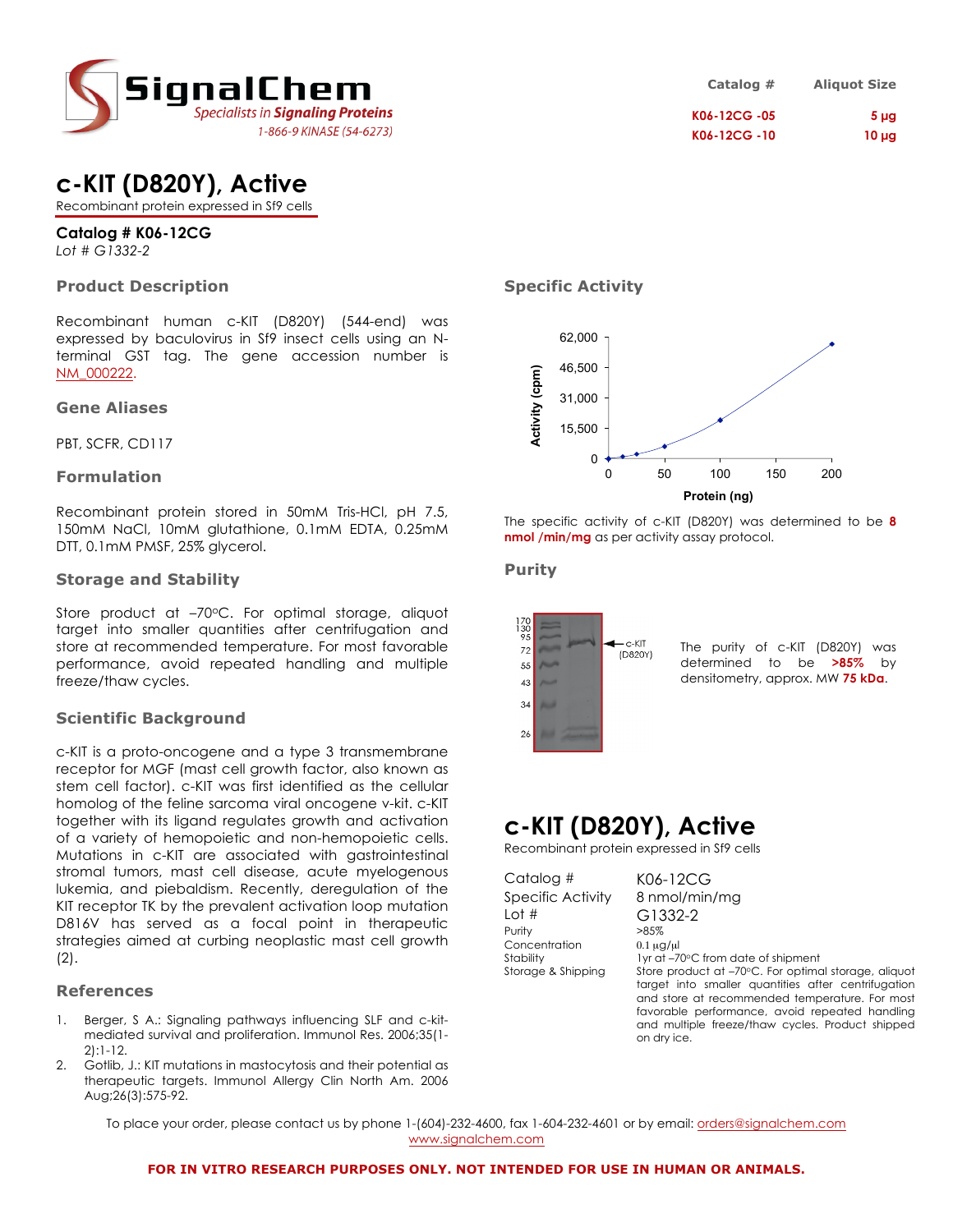

| Catalog #    | <b>Aliquot Size</b> |
|--------------|---------------------|
| K06-12CG -05 | 5 <sub>µq</sub>     |
| K06-12CG -10 | $10 \mu g$          |

### **c-KIT (D820Y), Active**

Recombinant protein expressed in Sf9 cells

### **Catalog # K06-12CG**

*Lot # G1332-2*

### **Product Description**

Recombinant human c-KIT (D820Y) (544-end) was expressed by baculovirus in Sf9 insect cells using an Nterminal GST tag. The gene accession number is NM\_000222.

### **Gene Aliases**

PBT, SCFR, CD117

### **Formulation**

Recombinant protein stored in 50mM Tris-HCl, pH 7.5, 150mM NaCl, 10mM glutathione, 0.1mM EDTA, 0.25mM DTT, 0.1mM PMSF, 25% glycerol.

### **Storage and Stability**

Store product at  $-70^{\circ}$ C. For optimal storage, aliquot target into smaller quantities after centrifugation and store at recommended temperature. For most favorable performance, avoid repeated handling and multiple freeze/thaw cycles.

### **Scientific Background**

c-KIT is a proto-oncogene and a type 3 transmembrane receptor for MGF (mast cell growth factor, also known as stem cell factor). c-KIT was first identified as the cellular homolog of the feline sarcoma viral oncogene v-kit. c-KIT together with its ligand regulates growth and activation of a variety of hemopoietic and non-hemopoietic cells. Mutations in c-KIT are associated with gastrointestinal stromal tumors, mast cell disease, acute myelogenous lukemia, and piebaldism. Recently, deregulation of the KIT receptor TK by the prevalent activation loop mutation D816V has served as a focal point in therapeutic strategies aimed at curbing neoplastic mast cell growth (2).

### **References**

- 1. Berger, S A.: Signaling pathways influencing SLF and c-kitmediated survival and proliferation. Immunol Res. 2006;35(1- 2):1-12.
- 2. Gotlib, J.: KIT mutations in mastocytosis and their potential as therapeutic targets. Immunol Allergy Clin North Am. 2006 Aug;26(3):575-92.

### **Specific Activity**



The specific activity of c-KIT (D820Y) was determined to be **8 nmol /min/mg** as per activity assay protocol.

### **Purity**



The purity of c-KIT (D820Y) was determined to be **>85%** by densitometry, approx. MW **75 kDa**.

# **c-KIT (D820Y), Active**

Recombinant protein expressed in Sf9 cells

Catalog # K06-12CG Lot # G1332-2 Purity  $>85\%$ Concentration  $0.1 \mu g/\mu$ <br>Stability  $1 \text{vr}$  at  $-7$ 

Specific Activity 8 nmol/min/mg I yr at –70°C from date of shipment

Storage & Shipping Store product at -70°C. For optimal storage, aliquot target into smaller quantities after centrifugation and store at recommended temperature. For most favorable performance, avoid repeated handling and multiple freeze/thaw cycles. Product shipped on dry ice.

To place your order, please contact us by phone 1-(604)-232-4600, fax 1-604-232-4601 or by email: orders@signalchem.com www.signalchem.com